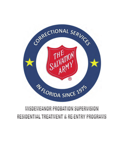

# MISDEMEANOR PROBATION SUPERVISION RESIDENTIAL TREATMENT & RE ENTRY PROGRAMS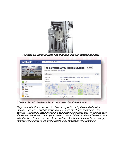

**The way we communicate has changed, but our mission has not.** 



**The mission of The Salvation Army Correctional Services –** 

To provide effective supervision to clients assigned to us by the criminal justice system. Our services will be provided to maximize the clients' opportunities for success. This will be accomplished in a compassionate manner that will address both the socioeconomic and criminogenic needs known to influence criminal behavior. It is with this focus that we can provide the tools needed for maximum behavior change, improving the quality of life for the clients, their families and the community.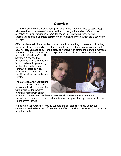# **Overview**

The Salvation Army provides various programs in the state of Florida to assist people who have found themselves involved in the criminal justice system. We also see ourselves as partners with governmental agencies in providing cost effective alternatives to public operated community corrections services, which are a savings to taxpayers.

Offenders have additional hurdles to overcome in attempting to become contributing members of the community that others do not, such as obtaining employment and housing, etc. Because of our long history of working with offenders, our staff members are aware of these hurdles and are experienced in resolving these issues that are

unique to offenders. Often The Salvation Army has the resources to meet these needs. If not, we have long standing relationships with various community social services agencies that can provide more specific services needed by our clients.

The Salvation Army Correctional Services has been providing services to Florida communities with programs for inmates returning home from prison,



felony probationers court ordered to residential substance abuse treatment or supervision for offenders sentenced to misdemeanor probation by a number of county courts across Florida.

We have a dual purpose to provide support and assistance to those under our supervision and to be a part of a community effort to address the issue of crime in our neighborhoods.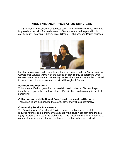# **MISDEMEANOR PROBATION SERVICES**

The Salvation Army Correctional Services contracts with multiple Florida counties to provide supervision for misdemeanor offenders sentenced to probation in county court. Locations in Citrus, Dixie, Gilchrist, Highlands, and Marion counties.



Local needs are assessed in developing these programs, and The Salvation Army Correctional Services works with the judges of each county to determine what services are appropriate for their county. While all programs may not be provided in each county, these services are provided throughout Florida:

#### **Batterers Intervention -**

This state-certified program for convicted domestic violence offenders helps identify the triggers that lead to violence. Participation is often a requirement of sentencing.

#### **Collection and distribution of fines/court costs and restitution -**

These monies are disbursed to the county clerk and victims accordingly.

#### **Community Service Placement -**

The Salvation Army Correctional Services ensures probationers complete the required hours of community service as set by the court while providing medical injury insurance to protect the probationer. The placement of those sentenced to community service hours but not sentenced to probation is also provided.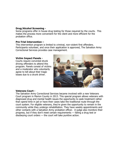## **Drug/Alcohol Screening -**

Some programs offer in house drug testing for those required by the courts. This makes the process more convenient for the client and more efficient for the probation office.

#### **Pre-Trial Intervention –**

This intervention program is limited to criminal, non-violent first offenders. Participants volunteer, and once their application is approved, The Salvation Army Correctional Services provides case management.

## **Victim Impact Panels -**

Courts require convicted drunk driving offenders to attend this program. Panels consist of victims and a moderator who voluntarily agree to tell about their tragic losses due to a drunk driver.



#### **Veterans Court -**

The Salvation Army Correctional Services became involved with a new Veterans Court program in Marion County in 2013. This special program allows veterans with diagnosed drug and mental health issues the opportunity to seek treatment rather than spend time in jail or have their cases take the traditional route through the court system. For eligible veterans, they're given the opportunity to remain in the community while they undergo rehabilitation. They have weekly appointments and other contacts with a Salvation Army probation officer. A judge also monitors their progress, but if they don't meet certain requirements — failing a drug test or disobeying court orders — the court will take punitive action.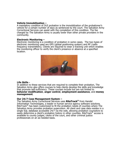#### **Vehicle Immobilization –**

A mandatory condition of DUI probation is the immobilization of the probationer's vehicle for a certain number of days as sentenced by the court. The Salvation Army Correctional Services can assist with the completion of this condition. The fee charged by The Salvation Army is usually lower than other private providers in the community.

#### **Electronic Monitoring –**

Electronic monitoring is a condition of probation in some cases. The two types of electronic monitoring used are GPS (global positioning system) and RF (radio frequency transmitters). Clients are required to wear a tracking unit which enables the monitoring officer to verify the client's presence or absence at a specified location.



#### **Life Skills -**

In addition to these services that are required to complete their probation, The Salvation Army also offers courses to help clients develop the skills and knowledge that promote self-sufficiency. These courses include but are not limited to **behavior modification**, **anger control**, **employment assistance**, and **money management**.

#### **Our 24/7 Case Management System –**

The Salvation Army Correctional Services uses **RiteTrack®** from Handel Information Technologies, a leader in human service agency software solutions. RiteTrack® has been customized to fit the probation needs of counties where The Salvation Army provides probation supervision. All client and case data resides in a single SQL database accessible 24/7 via the web, allowing probation counselors to easily determine a client's probation history in other counties. RiteTrack<sup>®</sup> access is available to county judges, clerks of the court, and other criminal justice professionals on an as-needed basis.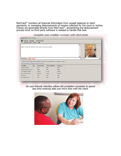RiteTrack $^{\circledR}$  monitors all financial information from unpaid balances to client payments, to managing disbursements of monies collected for the court or victims. Checks are generated directly from RiteTrack®, streamlining the disbursement process since no third party software is needed to handle that task.

|                                                           |                | Client, Sample SACS5203<br>(436) User: Form: edit |                                                                                                         |                |  |  |
|-----------------------------------------------------------|----------------|---------------------------------------------------|---------------------------------------------------------------------------------------------------------|----------------|--|--|
| CLIENT TO HAVE NO CONTACT WITH VICTIM - RETAIL GOLF SHOPS |                |                                                   |                                                                                                         |                |  |  |
|                                                           |                |                                                   | 3/19/2014<br>Tá                                                                                         |                |  |  |
| File Location:                                            | in court       |                                                   |                                                                                                         |                |  |  |
| This tab summarizes conditions for open cases only.       |                |                                                   | Condition Summary   Client Profile   Affiliations   Promises   Incomplete Balance   Payments / Progress |                |  |  |
| <b>Condition</b>                                          | <b>Qty</b>     | Amount/Unit                                       | Paid/Completed                                                                                          | <b>Balance</b> |  |  |
| Alcohol Evaluation                                        |                | 1.00                                              | 0.00                                                                                                    | 1.00           |  |  |
| Community Service Hours 1                                 |                | 50.00                                             | 0.00                                                                                                    | 50.00          |  |  |
| COS Regular Probation                                     | $\blacksquare$ | \$55.00                                           | \$0.00                                                                                                  | \$55.00        |  |  |
| Fines And Court Costs                                     |                | \$500.00                                          | \$0.00                                                                                                  | \$500.00       |  |  |
| No Alcohol                                                |                | 1.00                                              | 0.00                                                                                                    | 1.00           |  |  |

Complete case condition summary with client photo

Its user-friendly interface allows the probation counselor to spend less time entering data and more time with the client.

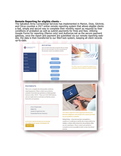#### **Remote Reporting for eligible clients –**

The Salvation Army Correctional Services has implemented in Marion, Dixie, Gilchrist, and Citrus counties a 24/7 online remote reporting system that allows eligible clients a fast, simple and secure way to complete their monthly report as required by their conditions of probation as well as submit payments for fines and fees. Utilizing Google Forms for reporting (Marion only) and Authorize.net as the secure payment gateway, once the report and payment are submitted via our remote reporting website, the data is then transferred to our RiteTrack system, keeping all client records up-to-date.

| You will be required to complete the probation report<br>each month as instructed by your probation counselor. |
|----------------------------------------------------------------------------------------------------------------|
|                                                                                                                |
|                                                                                                                |
|                                                                                                                |
|                                                                                                                |
|                                                                                                                |

requiring payment. Please contact your probation counselor if you have any questions on which payment button to select. NOTE - There are 2 PAY NOW buttons, and you might need to scroll down to find the correct button for your payment.

> Cost of Supervision **Intake Fee** Alcohol/Drug Screen Fee **Community Service Insurance**

BY CLICKING ON THE PAY NOW BUTTON BELOW. YOU AGREE TO PAY A \$5.00 CONVENIENCE FEE **PAY NOW** 



You will be required to make payments towards your financial obligations each month in the amount provided by your probation counselor.

Refund Policy - If you feel you have overpaid for a condition or conditions or paid for the wrong condition by mistake, a refund will be issued thru the probation office you are reporting to. Please contact your probation counselor as soon as possible in order to start the refund process.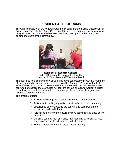# **RESIDENTIAL PROGRAMS**

Through contracts with the Federal Bureau of Prisons and the Florida Department of Corrections, The Salvation Army Correctional Services offers residential programs for drug treatment and transitional services, assisting participants in becoming lawabiding members of the community.



**Residential Reentry Centers**  Federal Bureau of Prisons contract facility Locations in Fort Myers and West Palm Beach

The goal is to help change lifestyles so participants can become productive members of the community. Residents are referred from the Bureau of Prisons for the last 10% of their prison term. Those referred from the Federal Court System have been convicted of charges the court does not feel are serious enough to warrant a prison term. Program residents work with a case manager to determine their goals and establish personalized plans.

The program offers:

- $\triangleright$  Bi-weekly meetings with case managers to monitor progress
- $\triangleright$  Assistance in making a positive transition back to the community
- $\triangleright$  Opportunity to work outside the centers and earn free time to gradually reunite with family
- $\triangleright$  Participant monitoring to ensure positive activities take place during transition
- $\triangleright$  Life skills courses such as money management, parenting classes, anger management and cognitive skills training
- $\triangleright$  Home confinement utilizing electronic monitoring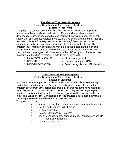## **Residential Treatment Programs**

Florida Department of Corrections contract facility Located in Fort Myers

The programs contract with the Florida Department of Corrections to provide residential substance abuse treatment to offenders with substance abuse/ dependency issues. Residents will attend therapeutic activities under the direct supervision of a Certified Addiction Professional. Following two months of intensive treatment clients will be required to secure meaningful employment in the community and begin financially contributing to their cost of treatment. The program is six month in duration and may be modified based on the individual client's therapeutic responses. The ultimate goal is for the offender to create a lifestyle based on program principles to maximize his/her opportunity for success. In addition to the drug treatment, residents are assisted with:

- $\triangleright$  Employment Counseling
- $\triangleright$  Life Skills
- $\triangleright$  Character development
- $\triangleright$  Money Management
- $\triangleright$  Literacy testing and GED
- $\triangleright$  Co-occurring disorders (Ft Myers)

# **Transitional Housing Programs**

Florida Department of Corrections contract facility Located in Bradenton

Provides a positive impact on recidivism and improves life skills while meeting spiritual and emotional needs. Designed to assist post-release offenders, the program differs from other residential programs in that residents have met their legal obligations to the Department of Corrections. They are no longer legally required to stay in a facility, but can come and go within the structure of house rules. The Salvation Army Correctional Services provides a faith-based curriculum, including Bible study and Bible-based value clarification. The program offers:

- $\triangleright$  Referrals for substance abuse and drug and alcohol counseling
- $\triangleright$  Life skill and cognitive skills training
- $\triangleright$  Spiritual counseling
- $\triangleright$  Literacy testing and GED courses
- $\triangleright$  Employment assistance, personal money management and life management training
- $\triangleright$  In-house AA and NA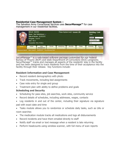## **Residential Case Management System –**

The Salvation Army Correctional Services uses **SecurManage™** for case management in our residential facilities.

|      | REG #: 9999990                        | Name: Sam Subsistence                                         |          | Phase System Level: General 100 | <b>Building / Unit</b><br>Test<br>Search<br>Active Residents V<br>Test<br>$\checkmark$ |       |                 |                   |
|------|---------------------------------------|---------------------------------------------------------------|----------|---------------------------------|----------------------------------------------------------------------------------------|-------|-----------------|-------------------|
|      | Program: Test HC<br><b>Bed: 102-2</b> | Date of Arrival: 04/29/2015<br><b>Counselor: Mike Walters</b> |          |                                 |                                                                                        |       |                 |                   |
| Home | Intake                                | Case<br><b>Management</b>                                     | Clinical | Scheduling                      | Security                                                                               | Phase | <b>Accounts</b> | Accounts<br>Admin |

SecurManage™ is a web-based software package customized for our Federal Bureau of Prisons (BOP) and state Department of Corrections (DOC) programs. SecurManage™ tracks and manages all aspects of the residents' stay in the facility and has been designed to track residents from the time of their acceptance into the facility through their release. Key functions include:

## **Resident Information and Case Management**

- Record resident demographics with photo
- Track movements, including bed assignments
- Case note entry for single and group
- Treatment plan with ability to define problems and goals

# **Scheduling and Security**

- Scheduling for pass sites, job searches, work sites, community service
- Record details of schedules, including addresses, wages, contacts
- Log residents in and out of the center, including their signature via signature pad with exact date and time
- Tasks module allows you to randomize or schedule daily tasks, such as UAs or room searches
- The medication module tracks all medications and logs all disbursements
- Record incidents and have them emailed directly to staff
- Notify staff via email or text message when a resident is late returning
- Perform headcounts using wireless scanner, with full menu of scan reports